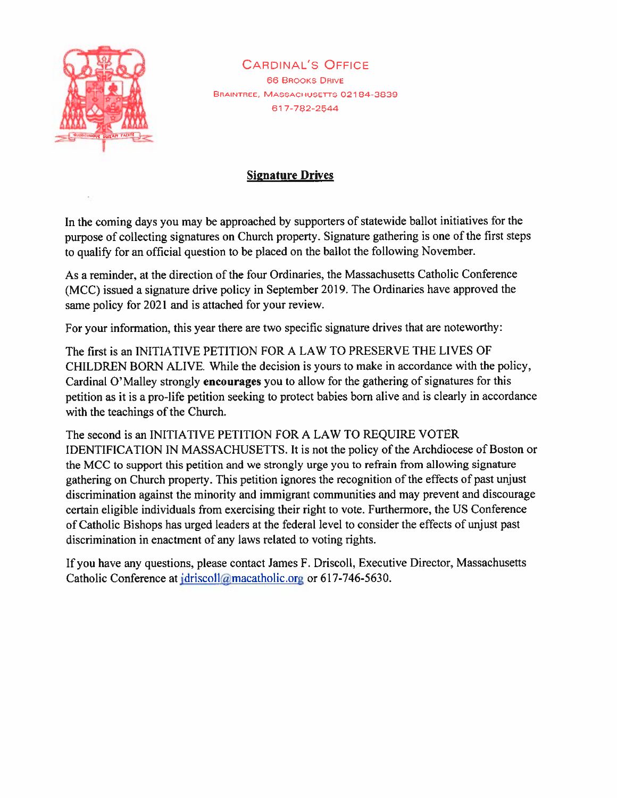

CARDINAL'S OFFICE 66 BROOKS DRIVE BRAINTREE, MASSACHUSETTS 02184-3839 617-782-2544

## Signature Drives

In the coming days you may be approached by supporters of statewide ballot initiatives for the purpose of collecting signatures on Church property. Signature gathering is one of the first steps to qualify for an official question to be placed on the ballot the following November.

As <sup>a</sup> reminder, at the direction of the four Ordinaries, the Massachusetts Catholic Conference (MCC) issued <sup>a</sup> signature drive policy in September 2019. The Ordinaries have approve<sup>d</sup> the same policy for <sup>2021</sup> and is attached for your review.

For your information, this year there are two specific signature drives that are noteworthy:

The first is an INITIATIVE PETITION FOR A LAW TO PRESERVE THE LIVES OF CHILDREN BORN ALIVE. While the decision is yours to make in accordance with the policy, Cardinal O'Malley strongly encourages you to allow for the gathering of signatures for this petition as it is <sup>a</sup> pro-life petition seeking to protect babies born alive and is clearly in accordance with the teachings of the Church.

The second is an INITIATIVE PETITION FOR A LAW TO REQUIRE VOTER IDENTIFICATION IN MASSACHUSETTS. It is not the policy of the Archdiocese of Boston or the MCC to suppor<sup>t</sup> this petition and we strongly urge you to refrain from allowing signature gathering on Church property. This petition ignores the recognition of the effects of pas<sup>t</sup> unjust discrimination against the minority and immigrant communities and may preven<sup>t</sup> and discourage certain eligible individuals from exercising their right to vote. Furthermore, the US Conference of Catholic Bishops has urged leaders at the federal level to consider the effects of unjust pas<sup>t</sup> discrimination in enactment of any laws related to voting rights.

If you have any questions. <sup>p</sup>lease contact James F. Driscoll. Executive Director. Massachusetts Catholic Conference at jdriscoll@macatholic.org or 617-746-5630.